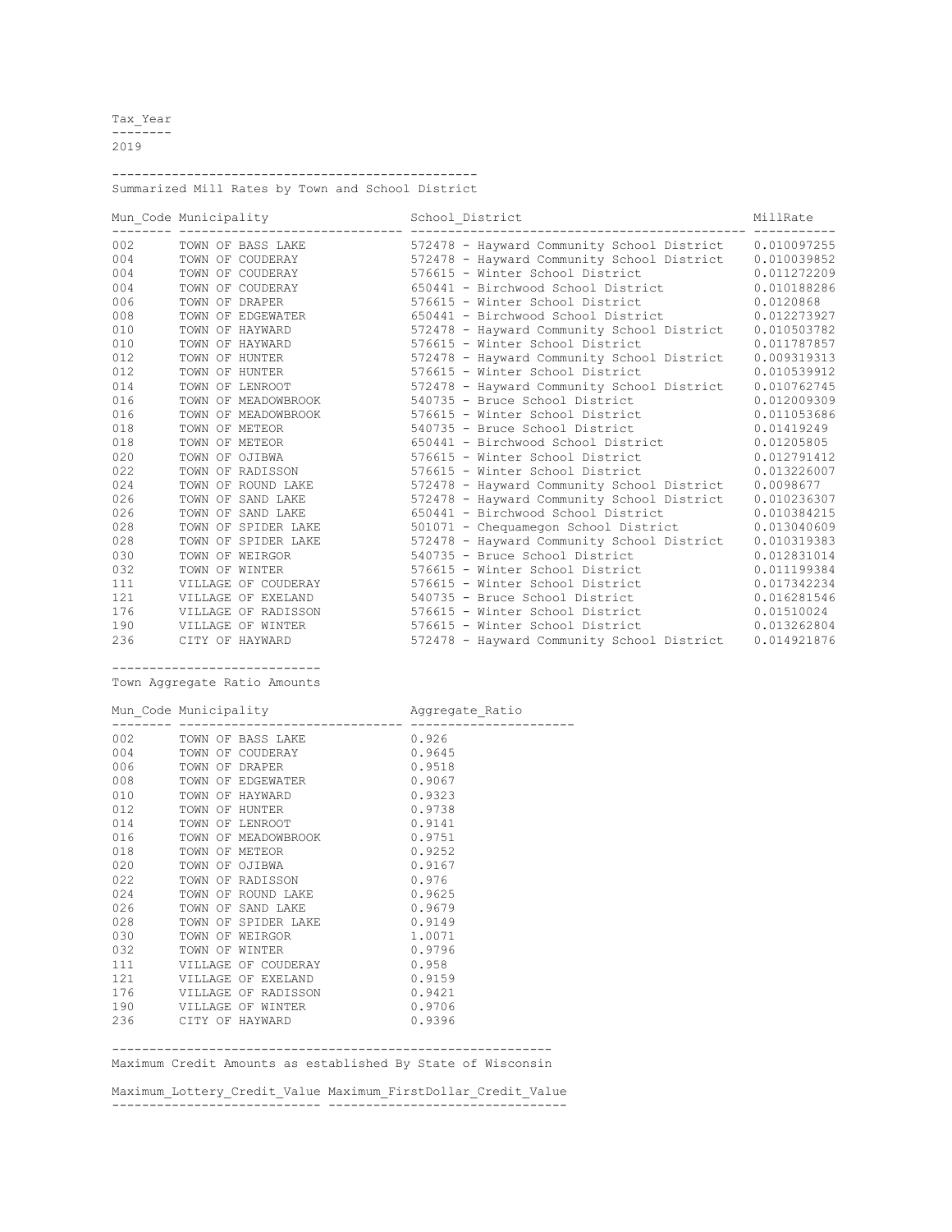Tax\_Year -------- 2019

------------------------------------------------- Summarized Mill Rates by Town and School District

|     | Mun Code Municipality |                     | School District |                                            | MillRate    |  |
|-----|-----------------------|---------------------|-----------------|--------------------------------------------|-------------|--|
| 002 |                       | TOWN OF BASS LAKE   |                 | 572478 - Hayward Community School District | 0.010097255 |  |
| 004 |                       | TOWN OF COUDERAY    |                 | 572478 - Hayward Community School District | 0.010039852 |  |
| 004 |                       | TOWN OF COUDERAY    |                 | 576615 - Winter School District            | 0.011272209 |  |
| 004 |                       | TOWN OF COUDERAY    |                 | 650441 - Birchwood School District         | 0.010188286 |  |
| 006 | TOWN OF DRAPER        |                     |                 | 576615 - Winter School District            | 0.0120868   |  |
| 008 |                       | TOWN OF EDGEWATER   |                 | 650441 - Birchwood School District         | 0.012273927 |  |
| 010 |                       | TOWN OF HAYWARD     |                 | 572478 - Hayward Community School District | 0.010503782 |  |
| 010 |                       | TOWN OF HAYWARD     |                 | 576615 - Winter School District            | 0.011787857 |  |
| 012 |                       | TOWN OF HUNTER      |                 | 572478 - Hayward Community School District | 0.009319313 |  |
| 012 |                       | TOWN OF HUNTER      |                 | 576615 - Winter School District            | 0.010539912 |  |
| 014 |                       | TOWN OF LENROOT     |                 | 572478 - Hayward Community School District | 0.010762745 |  |
| 016 |                       | TOWN OF MEADOWBROOK |                 | 540735 - Bruce School District             | 0.012009309 |  |
| 016 |                       | TOWN OF MEADOWBROOK |                 | 576615 - Winter School District            | 0.011053686 |  |
| 018 |                       | TOWN OF METEOR      |                 | 540735 - Bruce School District             | 0.01419249  |  |
| 018 |                       | TOWN OF METEOR      |                 | 650441 - Birchwood School District         | 0.01205805  |  |
| 020 | TOWN OF OJIBWA        |                     |                 | 576615 - Winter School District            | 0.012791412 |  |
| 022 |                       | TOWN OF RADISSON    |                 | 576615 - Winter School District            | 0.013226007 |  |
| 024 |                       | TOWN OF ROUND LAKE  |                 | 572478 - Hayward Community School District | 0.0098677   |  |
| 026 |                       | TOWN OF SAND LAKE   |                 | 572478 - Hayward Community School District | 0.010236307 |  |
| 026 |                       | TOWN OF SAND LAKE   |                 | 650441 - Birchwood School District         | 0.010384215 |  |
| 028 |                       | TOWN OF SPIDER LAKE |                 | 501071 - Chequamegon School District       | 0.013040609 |  |
| 028 |                       | TOWN OF SPIDER LAKE |                 | 572478 - Hayward Community School District | 0.010319383 |  |
| 030 |                       | TOWN OF WEIRGOR     |                 | 540735 - Bruce School District             | 0.012831014 |  |
| 032 |                       | TOWN OF WINTER      |                 | 576615 - Winter School District            | 0.011199384 |  |
| 111 |                       | VILLAGE OF COUDERAY |                 | 576615 - Winter School District            | 0.017342234 |  |
| 121 |                       | VILLAGE OF EXELAND  |                 | 540735 - Bruce School District             | 0.016281546 |  |
| 176 |                       | VILLAGE OF RADISSON |                 | 576615 - Winter School District            | 0.01510024  |  |
| 190 |                       | VILLAGE OF WINTER   |                 | 576615 - Winter School District            | 0.013262804 |  |
| 236 |                       | CITY OF HAYWARD     |                 | 572478 - Hayward Community School District | 0.014921876 |  |

---------------------------- Town Aggregate Ratio Amounts

Mun Code Municipality **Aggregate Ratio** 

|           | Mun_Code Municipalicy entries and Agglegate_Macio |        |
|-----------|---------------------------------------------------|--------|
| 002 — 100 | TOWN OF BASS LAKE 0.926                           |        |
| 004 00    | TOWN OF COUDERAY                                  | 0.9645 |
| 006       | 0.9518<br>TOWN OF DRAPER                          |        |
| 008       | 0.9067<br>TOWN OF EDGEWATER                       |        |
| 010       | TOWN OF HAYWARD                                   | 0.9323 |
| 012       | 0.9738<br>TOWN OF HUNTER                          |        |
| 014       | 0.9141<br>TOWN OF LENROOT                         |        |
| 016       | TOWN OF MEADOWBROOK<br>0.9751                     |        |
| 018       | 0.9252<br>TOWN OF METEOR                          |        |
| 020       | 0.9167<br>TOWN OF OJIBWA                          |        |
| 022       | TOWN OF RADISSON                                  | 0.976  |
| 024       | TOWN OF ROUND LAKE                                | 0.9625 |
| 026       | TOWN OF SAND LAKE                                 | 0.9679 |
| 028       | TOWN OF SPIDER LAKE                               | 0.9149 |
| 030       | 1.0071<br>TOWN OF WEIRGOR                         |        |
| 032       | 0.9796<br>TOWN OF WINTER                          |        |
| 111 —     | 0.958<br>VILLAGE OF COUDERAY                      |        |
|           | 121 VILLAGE OF EXELAND<br>0.9159                  |        |
| 176       | 0.9421<br>VILLAGE OF RADISSON                     |        |
|           | 190 VILLAGE OF WINTER                             | 0.9706 |
|           | 236 CITY OF HAYWARD                               | 0.9396 |
|           |                                                   |        |

----------------------------------------------------------- Maximum Credit Amounts as established By State of Wisconsin

Maximum\_Lottery\_Credit\_Value Maximum\_FirstDollar\_Credit\_Value ---------------------------- --------------------------------